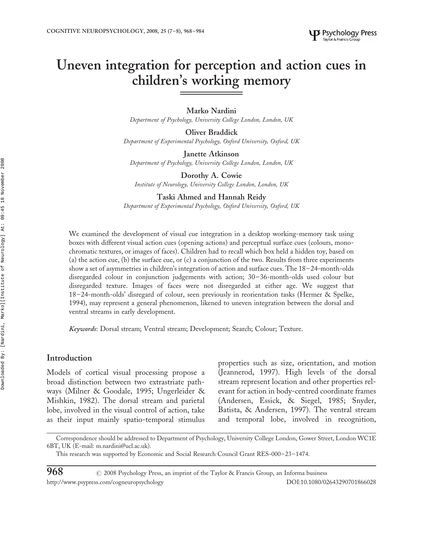# Uneven integration for perception and action cues in children's working memory

Marko Nardini Department of Psychology, University College London, London, UK

Oliver Braddick Department of Experimental Psychology, Oxford University, Oxford, UK

Janette Atkinson Department of Psychology, University College London, London, UK

Dorothy A. Cowie Institute of Neurology, University College London, London, UK

Taski Ahmed and Hannah Reidy

Department of Experimental Psychology, Oxford University, Oxford, UK

We examined the development of visual cue integration in a desktop working-memory task using boxes with different visual action cues (opening actions) and perceptual surface cues (colours, monochromatic textures, or images of faces). Children had to recall which box held a hidden toy, based on (a) the action cue, (b) the surface cue, or (c) a conjunction of the two. Results from three experiments show a set of asymmetries in children's integration of action and surface cues. The 18–24-month-olds disregarded colour in conjunction judgements with action; 30–36-month-olds used colour but disregarded texture. Images of faces were not disregarded at either age. We suggest that 18–24-month-olds' disregard of colour, seen previously in reorientation tasks (Hermer & Spelke, 1994), may represent a general phenomenon, likened to uneven integration between the dorsal and ventral streams in early development.

Keywords: Dorsal stream; Ventral stream; Development; Search; Colour; Texture.

# Introduction

Models of cortical visual processing propose a broad distinction between two extrastriate pathways (Milner & Goodale, 1995; Ungerleider & Mishkin, 1982). The dorsal stream and parietal lobe, involved in the visual control of action, take as their input mainly spatio-temporal stimulus

properties such as size, orientation, and motion (Jeannerod, 1997). High levels of the dorsal stream represent location and other properties relevant for action in body-centred coordinate frames (Andersen, Essick, & Siegel, 1985; Snyder, Batista, & Andersen, 1997). The ventral stream and temporal lobe, involved in recognition,

968 <sup>2008</sup> Psychology Press, an imprint of the Taylor & Francis Group, an Informa business http://www.psypress.com/cogneuropsychology DOI:10.1080/02643290701866028

Correspondence should be addressed to Department of Psychology, University College London, Gower Street, London WC1E 6BT, UK (E-mail: m.nardini@ucl.ac.uk).

This research was supported by Economic and Social Research Council Grant RES-000–23–1474.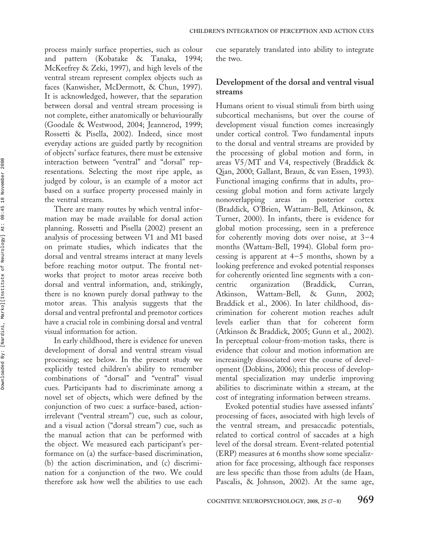process mainly surface properties, such as colour and pattern (Kobatake & Tanaka, 1994; McKeefrey & Zeki, 1997), and high levels of the ventral stream represent complex objects such as faces (Kanwisher, McDermott, & Chun, 1997). It is acknowledged, however, that the separation between dorsal and ventral stream processing is not complete, either anatomically or behaviourally (Goodale & Westwood, 2004; Jeannerod, 1999; Rossetti & Pisella, 2002). Indeed, since most everyday actions are guided partly by recognition of objects' surface features, there must be extensive interaction between "ventral" and "dorsal" representations. Selecting the most ripe apple, as judged by colour, is an example of a motor act based on a surface property processed mainly in the ventral stream.

There are many routes by which ventral information may be made available for dorsal action planning. Rossetti and Pisella (2002) present an analysis of processing between V1 and M1 based on primate studies, which indicates that the dorsal and ventral streams interact at many levels before reaching motor output. The frontal networks that project to motor areas receive both dorsal and ventral information, and, strikingly, there is no known purely dorsal pathway to the motor areas. This analysis suggests that the dorsal and ventral prefrontal and premotor cortices have a crucial role in combining dorsal and ventral visual information for action.

In early childhood, there is evidence for uneven development of dorsal and ventral stream visual processing; see below. In the present study we explicitly tested children's ability to remember combinations of "dorsal" and "ventral" visual cues. Participants had to discriminate among a novel set of objects, which were defined by the conjunction of two cues: a surface-based, actionirrelevant ("ventral stream") cue, such as colour, and a visual action ("dorsal stream") cue, such as the manual action that can be performed with the object. We measured each participant's performance on (a) the surface-based discrimination, (b) the action discrimination, and (c) discrimination for a conjunction of the two. We could therefore ask how well the abilities to use each

cue separately translated into ability to integrate the two.

# Development of the dorsal and ventral visual streams

Humans orient to visual stimuli from birth using subcortical mechanisms, but over the course of development visual function comes increasingly under cortical control. Two fundamental inputs to the dorsal and ventral streams are provided by the processing of global motion and form, in areas V5/MT and V4, respectively (Braddick & Qian, 2000; Gallant, Braun, & van Essen, 1993). Functional imaging confirms that in adults, processing global motion and form activate largely nonoverlapping areas in posterior cortex (Braddick, O'Brien, Wattam-Bell, Atkinson, & Turner, 2000). In infants, there is evidence for global motion processing, seen in a preference for coherently moving dots over noise, at 3–4 months (Wattam-Bell, 1994). Global form processing is apparent at  $4-5$  months, shown by a looking preference and evoked potential responses for coherently oriented line segments with a concentric organization (Braddick, Curran, Atkinson, Wattam-Bell, & Gunn, 2002; Braddick et al., 2006). In later childhood, discrimination for coherent motion reaches adult levels earlier than that for coherent form (Atkinson & Braddick, 2005; Gunn et al., 2002). In perceptual colour-from-motion tasks, there is evidence that colour and motion information are increasingly dissociated over the course of development (Dobkins, 2006); this process of developmental specialization may underlie improving abilities to discriminate within a stream, at the cost of integrating information between streams.

Evoked potential studies have assessed infants' processing of faces, associated with high levels of the ventral stream, and presaccadic potentials, related to cortical control of saccades at a high level of the dorsal stream. Event-related potential (ERP) measures at 6 months show some specialization for face processing, although face responses are less specific than those from adults (de Haan, Pascalis, & Johnson, 2002). At the same age,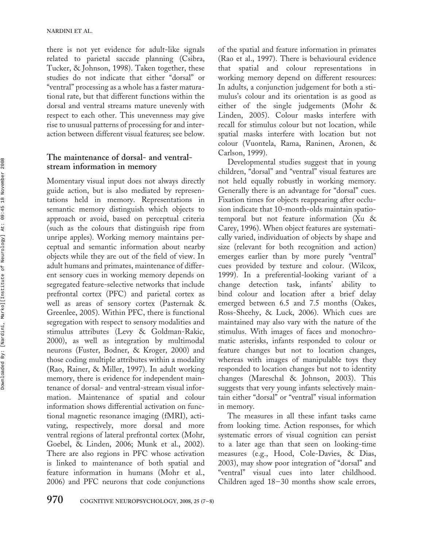there is not yet evidence for adult-like signals related to parietal saccade planning (Csibra, Tucker, & Johnson, 1998). Taken together, these studies do not indicate that either "dorsal" or "ventral" processing as a whole has a faster maturational rate, but that different functions within the dorsal and ventral streams mature unevenly with respect to each other. This unevenness may give rise to unusual patterns of processing for and interaction between different visual features; see below.

# The maintenance of dorsal- and ventralstream information in memory

Momentary visual input does not always directly guide action, but is also mediated by representations held in memory. Representations in semantic memory distinguish which objects to approach or avoid, based on perceptual criteria (such as the colours that distinguish ripe from unripe apples). Working memory maintains perceptual and semantic information about nearby objects while they are out of the field of view. In adult humans and primates, maintenance of different sensory cues in working memory depends on segregated feature-selective networks that include prefrontal cortex (PFC) and parietal cortex as well as areas of sensory cortex (Pasternak & Greenlee, 2005). Within PFC, there is functional segregation with respect to sensory modalities and stimulus attributes (Levy & Goldman-Rakic, 2000), as well as integration by multimodal neurons (Fuster, Bodner, & Kroger, 2000) and those coding multiple attributes within a modality (Rao, Rainer, & Miller, 1997). In adult working memory, there is evidence for independent maintenance of dorsal- and ventral-stream visual information. Maintenance of spatial and colour information shows differential activation on functional magnetic resonance imaging (fMRI), activating, respectively, more dorsal and more ventral regions of lateral prefrontal cortex (Mohr, Goebel, & Linden, 2006; Munk et al., 2002). There are also regions in PFC whose activation is linked to maintenance of both spatial and feature information in humans (Mohr et al., 2006) and PFC neurons that code conjunctions

of the spatial and feature information in primates (Rao et al., 1997). There is behavioural evidence that spatial and colour representations in working memory depend on different resources: In adults, a conjunction judgement for both a stimulus's colour and its orientation is as good as either of the single judgements (Mohr & Linden, 2005). Colour masks interfere with recall for stimulus colour but not location, while spatial masks interfere with location but not colour (Vuontela, Rama, Raninen, Aronen, & Carlson, 1999).

Developmental studies suggest that in young children, "dorsal" and "ventral" visual features are not held equally robustly in working memory. Generally there is an advantage for "dorsal" cues. Fixation times for objects reappearing after occlusion indicate that 10-month-olds maintain spatiotemporal but not feature information (Xu & Carey, 1996). When object features are systematically varied, individuation of objects by shape and size (relevant for both recognition and action) emerges earlier than by more purely "ventral" cues provided by texture and colour. (Wilcox, 1999). In a preferential-looking variant of a change detection task, infants' ability to bind colour and location after a brief delay emerged between 6.5 and 7.5 months (Oakes, Ross-Sheehy, & Luck, 2006). Which cues are maintained may also vary with the nature of the stimulus. With images of faces and monochromatic asterisks, infants responded to colour or feature changes but not to location changes, whereas with images of manipulable toys they responded to location changes but not to identity changes (Mareschal & Johnson, 2003). This suggests that very young infants selectively maintain either "dorsal" or "ventral" visual information in memory.

The measures in all these infant tasks came from looking time. Action responses, for which systematic errors of visual cognition can persist to a later age than that seen on looking-time measures (e.g., Hood, Cole-Davies, & Dias, 2003), may show poor integration of "dorsal" and "ventral" visual cues into later childhood. Children aged 18–30 months show scale errors,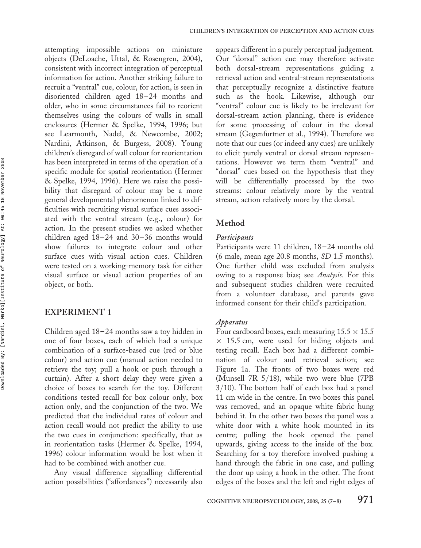attempting impossible actions on miniature objects (DeLoache, Uttal, & Rosengren, 2004), consistent with incorrect integration of perceptual information for action. Another striking failure to recruit a "ventral" cue, colour, for action, is seen in disoriented children aged 18–24 months and older, who in some circumstances fail to reorient themselves using the colours of walls in small enclosures (Hermer & Spelke, 1994, 1996; but see Learmonth, Nadel, & Newcombe, 2002; Nardini, Atkinson, & Burgess, 2008). Young children's disregard of wall colour for reorientation has been interpreted in terms of the operation of a specific module for spatial reorientation (Hermer & Spelke, 1994, 1996). Here we raise the possibility that disregard of colour may be a more general developmental phenomenon linked to difficulties with recruiting visual surface cues associated with the ventral stream (e.g., colour) for action. In the present studies we asked whether children aged 18–24 and 30–36 months would show failures to integrate colour and other surface cues with visual action cues. Children were tested on a working-memory task for either visual surface or visual action properties of an object, or both.

# EXPERIMENT 1

Children aged 18–24 months saw a toy hidden in one of four boxes, each of which had a unique combination of a surface-based cue (red or blue colour) and action cue (manual action needed to retrieve the toy; pull a hook or push through a curtain). After a short delay they were given a choice of boxes to search for the toy. Different conditions tested recall for box colour only, box action only, and the conjunction of the two. We predicted that the individual rates of colour and action recall would not predict the ability to use the two cues in conjunction: specifically, that as in reorientation tasks (Hermer & Spelke, 1994, 1996) colour information would be lost when it had to be combined with another cue.

Any visual difference signalling differential action possibilities ("affordances") necessarily also appears different in a purely perceptual judgement. Our "dorsal" action cue may therefore activate both dorsal-stream representations guiding a retrieval action and ventral-stream representations that perceptually recognize a distinctive feature such as the hook. Likewise, although our "ventral" colour cue is likely to be irrelevant for dorsal-stream action planning, there is evidence for some processing of colour in the dorsal stream (Gegenfurtner et al., 1994). Therefore we note that our cues (or indeed any cues) are unlikely to elicit purely ventral or dorsal stream representations. However we term them "ventral" and "dorsal" cues based on the hypothesis that they will be differentially processed by the two streams: colour relatively more by the ventral stream, action relatively more by the dorsal.

# Method

#### Participants

Participants were 11 children, 18–24 months old (6 male, mean age 20.8 months, SD 1.5 months). One further child was excluded from analysis owing to a response bias; see *Analysis*. For this and subsequent studies children were recruited from a volunteer database, and parents gave informed consent for their child's participation.

## Apparatus

Four cardboard boxes, each measuring  $15.5 \times 15.5$  $\times$  15.5 cm, were used for hiding objects and testing recall. Each box had a different combination of colour and retrieval action; see Figure 1a. The fronts of two boxes were red (Munsell 7R 5/18), while two were blue (7PB 3/10). The bottom half of each box had a panel 11 cm wide in the centre. In two boxes this panel was removed, and an opaque white fabric hung behind it. In the other two boxes the panel was a white door with a white hook mounted in its centre; pulling the hook opened the panel upwards, giving access to the inside of the box. Searching for a toy therefore involved pushing a hand through the fabric in one case, and pulling the door up using a hook in the other. The front edges of the boxes and the left and right edges of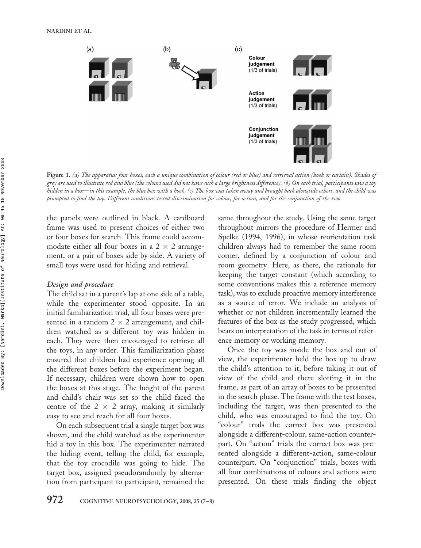

Figure 1. (a) The apparatus: four boxes, each a unique combination of colour (red or blue) and retrieval action (hook or curtain). Shades of grey are used to illustrate red and blue (the colours used did not have such a large brightness difference). (b) On each trial, participants saw a toy hidden in a box—in this example, the blue box with a hook. (c) The box was taken away and brought back alongside others, and the child was prompted to find the toy. Different conditions tested discrimination for colour, for action, and for the conjunction of the two.

the panels were outlined in black. A cardboard frame was used to present choices of either two or four boxes for search. This frame could accommodate either all four boxes in a  $2 \times 2$  arrangement, or a pair of boxes side by side. A variety of small toys were used for hiding and retrieval.

## Design and procedure

The child sat in a parent's lap at one side of a table, while the experimenter stood opposite. In an initial familiarization trial, all four boxes were presented in a random  $2 \times 2$  arrangement, and children watched as a different toy was hidden in each. They were then encouraged to retrieve all the toys, in any order. This familiarization phase ensured that children had experience opening all the different boxes before the experiment began. If necessary, children were shown how to open the boxes at this stage. The height of the parent and child's chair was set so the child faced the centre of the  $2 \times 2$  array, making it similarly easy to see and reach for all four boxes.

On each subsequent trial a single target box was shown, and the child watched as the experimenter hid a toy in this box. The experimenter narrated the hiding event, telling the child, for example, that the toy crocodile was going to hide. The target box, assigned pseudorandomly by alternation from participant to participant, remained the

same throughout the study. Using the same target throughout mirrors the procedure of Hermer and Spelke (1994, 1996), in whose reorientation task children always had to remember the same room corner, defined by a conjunction of colour and room geometry. Here, as there, the rationale for keeping the target constant (which according to some conventions makes this a reference memory task), was to exclude proactive memory interference as a source of error. We include an analysis of whether or not children incrementally learned the features of the box as the study progressed, which bears on interpretation of the task in terms of reference memory or working memory.

Once the toy was inside the box and out of view, the experimenter held the box up to draw the child's attention to it, before taking it out of view of the child and there slotting it in the frame, as part of an array of boxes to be presented in the search phase. The frame with the test boxes, including the target, was then presented to the child, who was encouraged to find the toy. On "colour" trials the correct box was presented alongside a different-colour, same-action counterpart. On "action" trials the correct box was presented alongside a different-action, same-colour counterpart. On "conjunction" trials, boxes with all four combinations of colours and actions were presented. On these trials finding the object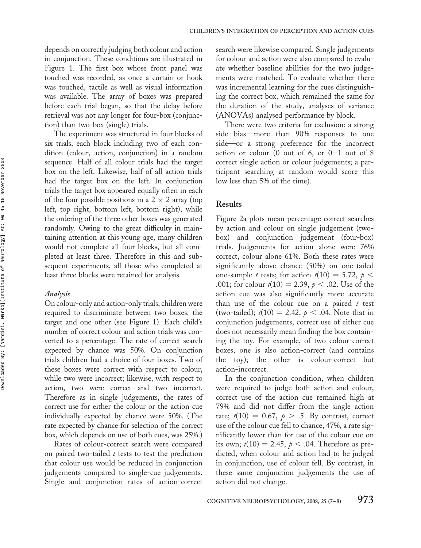depends on correctly judging both colour and action in conjunction. These conditions are illustrated in Figure 1. The first box whose front panel was touched was recorded, as once a curtain or hook was touched, tactile as well as visual information was available. The array of boxes was prepared before each trial began, so that the delay before retrieval was not any longer for four-box (conjunction) than two-box (single) trials.

The experiment was structured in four blocks of six trials, each block including two of each condition (colour, action, conjunction) in a random sequence. Half of all colour trials had the target box on the left. Likewise, half of all action trials had the target box on the left. In conjunction trials the target box appeared equally often in each of the four possible positions in a  $2 \times 2$  array (top left, top right, bottom left, bottom right), while the ordering of the three other boxes was generated randomly. Owing to the great difficulty in maintaining attention at this young age, many children would not complete all four blocks, but all completed at least three. Therefore in this and subsequent experiments, all those who completed at least three blocks were retained for analysis.

#### Analysis

On colour-only and action-only trials, children were required to discriminate between two boxes: the target and one other (see Figure 1). Each child's number of correct colour and action trials was converted to a percentage. The rate of correct search expected by chance was 50%. On conjunction trials children had a choice of four boxes. Two of these boxes were correct with respect to colour, while two were incorrect; likewise, with respect to action, two were correct and two incorrect. Therefore as in single judgements, the rates of correct use for either the colour or the action cue individually expected by chance were 50%. (The rate expected by chance for selection of the correct box, which depends on use of both cues, was 25%.)

Rates of colour-correct search were compared on paired two-tailed  $t$  tests to test the prediction that colour use would be reduced in conjunction judgements compared to single-cue judgements. Single and conjunction rates of action-correct search were likewise compared. Single judgements for colour and action were also compared to evaluate whether baseline abilities for the two judgements were matched. To evaluate whether there was incremental learning for the cues distinguishing the correct box, which remained the same for the duration of the study, analyses of variance (ANOVAs) analysed performance by block.

There were two criteria for exclusion: a strong side bias—more than 90% responses to one side—or a strong preference for the incorrect action or colour (0 out of 6, or 0–1 out of 8 correct single action or colour judgements; a participant searching at random would score this low less than 5% of the time).

## Results

Figure 2a plots mean percentage correct searches by action and colour on single judgement (twobox) and conjunction judgement (four-box) trials. Judgements for action alone were 76% correct, colour alone 61%. Both these rates were significantly above chance (50%) on one-tailed one-sample t tests; for action  $t(10) = 5.72$ ,  $p <$ .001; for colour  $t(10) = 2.39$ ,  $p < .02$ . Use of the action cue was also significantly more accurate than use of the colour cue on a paired  $t$  test (two-tailed);  $t(10) = 2.42, p < .04$ . Note that in conjunction judgements, correct use of either cue does not necessarily mean finding the box containing the toy. For example, of two colour-correct boxes, one is also action-correct (and contains the toy); the other is colour-correct but action-incorrect.

In the conjunction condition, when children were required to judge both action and colour, correct use of the action cue remained high at 79% and did not differ from the single action rate;  $t(10) = 0.67$ ,  $p > .5$ . By contrast, correct use of the colour cue fell to chance, 47%, a rate significantly lower than for use of the colour cue on its own;  $t(10) = 2.45$ ,  $\rho < .04$ . Therefore as predicted, when colour and action had to be judged in conjunction, use of colour fell. By contrast, in these same conjunction judgements the use of action did not change.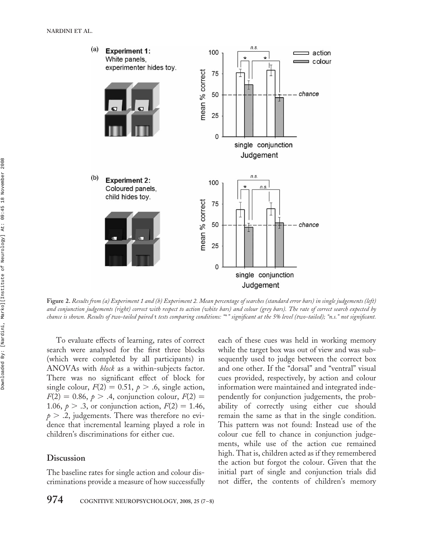

Figure 2. Results from (a) Experiment 1 and (b) Experiment 2. Mean percentage of searches (standard error bars) in single judgements (left) and conjunction judgements (right) correct with respect to action (white bars) and colour (grey bars). The rate of correct search expected by chance is shown. Results of two-tailed paired  $t$  tests comparing conditions: "\*" significant at the 5% level (two-tailed); "n.s." not significant.

To evaluate effects of learning, rates of correct search were analysed for the first three blocks (which were completed by all participants) in ANOVAs with block as a within-subjects factor. There was no significant effect of block for single colour,  $F(2) = 0.51$ ,  $p > .6$ , single action,  $F(2) = 0.86, p > .4$ , conjunction colour,  $F(2) =$ 1.06,  $p > .3$ , or conjunction action,  $F(2) = 1.46$ ,  $p > 0.2$ , judgements. There was therefore no evidence that incremental learning played a role in children's discriminations for either cue.

## Discussion

The baseline rates for single action and colour discriminations provide a measure of how successfully

each of these cues was held in working memory while the target box was out of view and was subsequently used to judge between the correct box and one other. If the "dorsal" and "ventral" visual cues provided, respectively, by action and colour information were maintained and integrated independently for conjunction judgements, the probability of correctly using either cue should remain the same as that in the single condition. This pattern was not found: Instead use of the colour cue fell to chance in conjunction judgements, while use of the action cue remained high. That is, children acted as if they remembered the action but forgot the colour. Given that the initial part of single and conjunction trials did not differ, the contents of children's memory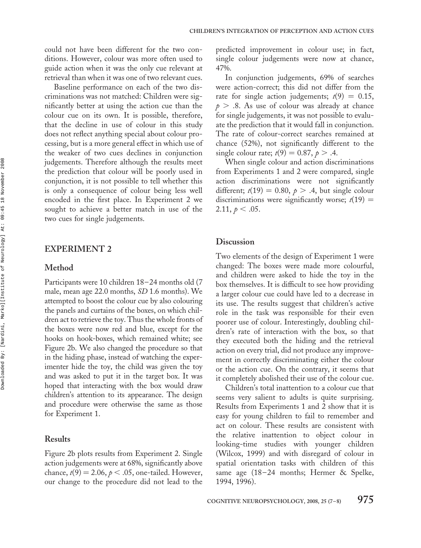could not have been different for the two conditions. However, colour was more often used to guide action when it was the only cue relevant at retrieval than when it was one of two relevant cues.

Baseline performance on each of the two discriminations was not matched: Children were significantly better at using the action cue than the colour cue on its own. It is possible, therefore, that the decline in use of colour in this study does not reflect anything special about colour processing, but is a more general effect in which use of the weaker of two cues declines in conjunction judgements. Therefore although the results meet the prediction that colour will be poorly used in conjunction, it is not possible to tell whether this is only a consequence of colour being less well encoded in the first place. In Experiment 2 we sought to achieve a better match in use of the two cues for single judgements.

## EXPERIMENT 2

## Method

Participants were 10 children 18–24 months old (7 male, mean age 22.0 months, SD 1.6 months). We attempted to boost the colour cue by also colouring the panels and curtains of the boxes, on which children act to retrieve the toy. Thus the whole fronts of the boxes were now red and blue, except for the hooks on hook-boxes, which remained white; see Figure 2b. We also changed the procedure so that in the hiding phase, instead of watching the experimenter hide the toy, the child was given the toy and was asked to put it in the target box. It was hoped that interacting with the box would draw children's attention to its appearance. The design and procedure were otherwise the same as those for Experiment 1.

## Results

Figure 2b plots results from Experiment 2. Single action judgements were at 68%, significantly above chance,  $t(9) = 2.06$ ,  $p < .05$ , one-tailed. However, our change to the procedure did not lead to the

predicted improvement in colour use; in fact, single colour judgements were now at chance, 47%.

In conjunction judgements, 69% of searches were action-correct; this did not differ from the rate for single action judgements;  $t(9) = 0.15$ ,  $p > .8$ . As use of colour was already at chance for single judgements, it was not possible to evaluate the prediction that it would fall in conjunction. The rate of colour-correct searches remained at chance (52%), not significantly different to the single colour rate;  $t(9) = 0.87$ ,  $p > .4$ .

When single colour and action discriminations from Experiments 1 and 2 were compared, single action discriminations were not significantly different;  $t(19) = 0.80$ ,  $p > .4$ , but single colour discriminations were significantly worse;  $t(19) =$ 2.11,  $p < .05$ .

## **Discussion**

Two elements of the design of Experiment 1 were changed: The boxes were made more colourful, and children were asked to hide the toy in the box themselves. It is difficult to see how providing a larger colour cue could have led to a decrease in its use. The results suggest that children's active role in the task was responsible for their even poorer use of colour. Interestingly, doubling children's rate of interaction with the box, so that they executed both the hiding and the retrieval action on every trial, did not produce any improvement in correctly discriminating either the colour or the action cue. On the contrary, it seems that it completely abolished their use of the colour cue.

Children's total inattention to a colour cue that seems very salient to adults is quite surprising. Results from Experiments 1 and 2 show that it is easy for young children to fail to remember and act on colour. These results are consistent with the relative inattention to object colour in looking-time studies with younger children (Wilcox, 1999) and with disregard of colour in spatial orientation tasks with children of this same age (18–24 months; Hermer & Spelke, 1994, 1996).

2008

November

 $\frac{8}{18}$ 

Neurology] At: 09:45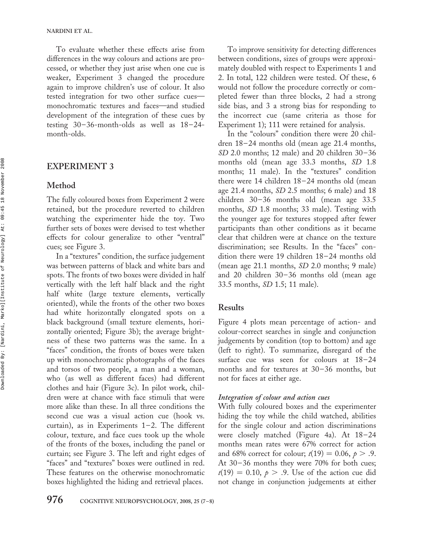To evaluate whether these effects arise from differences in the way colours and actions are processed, or whether they just arise when one cue is weaker, Experiment 3 changed the procedure again to improve children's use of colour. It also tested integration for two other surface cues monochromatic textures and faces—and studied development of the integration of these cues by testing 30–36-month-olds as well as 18–24 month-olds.

# EXPERIMENT 3

## Method

The fully coloured boxes from Experiment 2 were retained, but the procedure reverted to children watching the experimenter hide the toy. Two further sets of boxes were devised to test whether effects for colour generalize to other "ventral" cues; see Figure 3.

In a "textures" condition, the surface judgement was between patterns of black and white bars and spots. The fronts of two boxes were divided in half vertically with the left half black and the right half white (large texture elements, vertically oriented), while the fronts of the other two boxes had white horizontally elongated spots on a black background (small texture elements, horizontally oriented; Figure 3b); the average brightness of these two patterns was the same. In a "faces" condition, the fronts of boxes were taken up with monochromatic photographs of the faces and torsos of two people, a man and a woman, who (as well as different faces) had different clothes and hair (Figure 3c). In pilot work, children were at chance with face stimuli that were more alike than these. In all three conditions the second cue was a visual action cue (hook vs. curtain), as in Experiments 1–2. The different colour, texture, and face cues took up the whole of the fronts of the boxes, including the panel or curtain; see Figure 3. The left and right edges of "faces" and "textures" boxes were outlined in red. These features on the otherwise monochromatic boxes highlighted the hiding and retrieval places.

To improve sensitivity for detecting differences between conditions, sizes of groups were approximately doubled with respect to Experiments 1 and 2. In total, 122 children were tested. Of these, 6 would not follow the procedure correctly or completed fewer than three blocks, 2 had a strong side bias, and 3 a strong bias for responding to the incorrect cue (same criteria as those for Experiment 1); 111 were retained for analysis.

In the "colours" condition there were 20 children 18–24 months old (mean age 21.4 months, SD 2.0 months; 12 male) and 20 children 30–36 months old (mean age 33.3 months, SD 1.8 months; 11 male). In the "textures" condition there were 14 children 18–24 months old (mean age 21.4 months, SD 2.5 months; 6 male) and 18 children 30–36 months old (mean age 33.5 months, SD 1.8 months; 33 male). Testing with the younger age for textures stopped after fewer participants than other conditions as it became clear that children were at chance on the texture discrimination; see Results. In the "faces" condition there were 19 children 18–24 months old (mean age 21.1 months, SD 2.0 months; 9 male) and 20 children 30–36 months old (mean age 33.5 months, SD 1.5; 11 male).

## Results

Figure 4 plots mean percentage of action- and colour-correct searches in single and conjunction judgements by condition (top to bottom) and age (left to right). To summarize, disregard of the surface cue was seen for colours at 18–24 months and for textures at 30–36 months, but not for faces at either age.

## Integration of colour and action cues

With fully coloured boxes and the experimenter hiding the toy while the child watched, abilities for the single colour and action discriminations were closely matched (Figure 4a). At 18–24 months mean rates were 67% correct for action and 68% correct for colour;  $t(19) = 0.06, p > .9$ . At 30–36 months they were 70% for both cues;  $t(19) = 0.10, p > .9$ . Use of the action cue did not change in conjunction judgements at either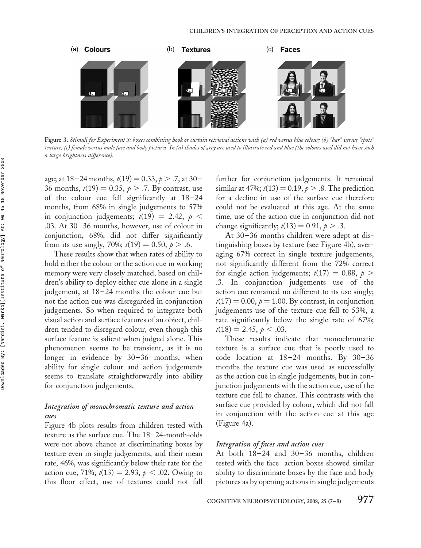

Figure 3. Stimuli for Experiment 3: boxes combining hook or curtain retrieval actions with (a) red versus blue colour; (b) "bar" versus "spots" texture; (c) female versus male face and body pictures. In (a) shades of grey are used to illustrate red and blue (the colours used did not have such a large brightness difference).

age; at 18–24 months,  $t(19) = 0.33, p > .7$ , at 30– 36 months,  $t(19) = 0.35$ ,  $p > .7$ . By contrast, use of the colour cue fell significantly at 18–24 months, from 68% in single judgements to 57% in conjunction judgements;  $t(19) = 2.42$ ,  $p <$ .03. At 30–36 months, however, use of colour in conjunction, 68%, did not differ significantly from its use singly, 70%;  $t(19) = 0.50, p > .6$ .

These results show that when rates of ability to hold either the colour or the action cue in working memory were very closely matched, based on children's ability to deploy either cue alone in a single judgement, at 18–24 months the colour cue but not the action cue was disregarded in conjunction judgements. So when required to integrate both visual action and surface features of an object, children tended to disregard colour, even though this surface feature is salient when judged alone. This phenomenon seems to be transient, as it is no longer in evidence by 30–36 months, when ability for single colour and action judgements seems to translate straightforwardly into ability for conjunction judgements.

## Integration of monochromatic texture and action cues

Figure 4b plots results from children tested with texture as the surface cue. The 18–24-month-olds were not above chance at discriminating boxes by texture even in single judgements, and their mean rate, 46%, was significantly below their rate for the action cue, 71%;  $t(13) = 2.93$ ,  $p < .02$ . Owing to this floor effect, use of textures could not fall

further for conjunction judgements. It remained similar at 47%;  $t(13) = 0.19$ ,  $p > .8$ . The prediction for a decline in use of the surface cue therefore could not be evaluated at this age. At the same time, use of the action cue in conjunction did not change significantly;  $t(13) = 0.91$ ,  $p > .3$ .

At 30–36 months children were adept at distinguishing boxes by texture (see Figure 4b), averaging 67% correct in single texture judgements, not significantly different from the 72% correct for single action judgements;  $t(17) = 0.88$ ,  $p >$ .3. In conjunction judgements use of the action cue remained no different to its use singly;  $t(17) = 0.00, \rho = 1.00$ . By contrast, in conjunction judgements use of the texture cue fell to 53%, a rate significantly below the single rate of 67%;  $t(18) = 2.45, \, p < .03.$ 

These results indicate that monochromatic texture is a surface cue that is poorly used to code location at 18–24 months. By 30–36 months the texture cue was used as successfully as the action cue in single judgements, but in conjunction judgements with the action cue, use of the texture cue fell to chance. This contrasts with the surface cue provided by colour, which did not fall in conjunction with the action cue at this age (Figure 4a).

#### Integration of faces and action cues

At both 18–24 and 30–36 months, children tested with the face–action boxes showed similar ability to discriminate boxes by the face and body pictures as by opening actions in single judgements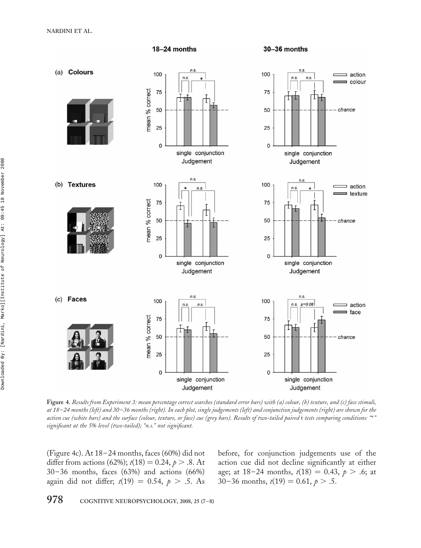

Figure 4. Results from Experiment 3: mean percentage correct searches (standard error bars) with (a) colour, (b) texture, and (c) face stimuli, at 18–24 months (left) and 30–36 months (right). In each plot, single judgements (left) and conjunction judgements (right) are shown for the action cue (white bars) and the surface (colour, texture, or face) cue (grey bars). Results of two-tailed paired  $t tests comparing conditions: "*"$ significant at the 5% level (two-tailed); "n.s." not significant.

(Figure 4c). At 18–24 months, faces (60%) did not differ from actions (62%);  $t(18) = 0.24, p > .8$ . At 30–36 months, faces (63%) and actions (66%) again did not differ;  $t(19) = 0.54$ ,  $p > .5$ . As before, for conjunction judgements use of the action cue did not decline significantly at either age; at  $18-24$  months,  $t(18) = 0.43$ ,  $p > .6$ ; at 30–36 months,  $t(19) = 0.61$ ,  $p > .5$ .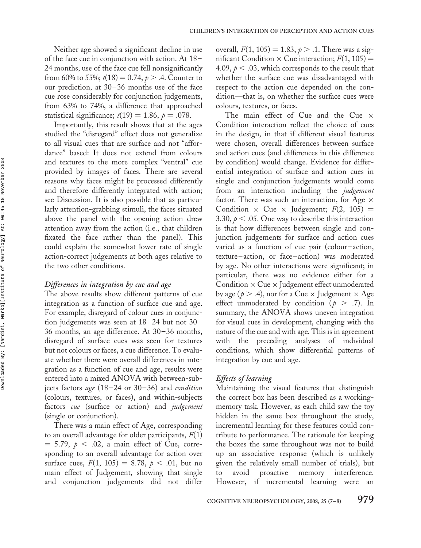Neither age showed a significant decline in use of the face cue in conjunction with action. At 18– 24 months, use of the face cue fell nonsignificantly from 60% to 55%;  $t(18) = 0.74$ ,  $p > .4$ . Counter to our prediction, at 30–36 months use of the face cue rose considerably for conjunction judgements, from 63% to 74%, a difference that approached statistical significance;  $t(19) = 1.86$ ,  $p = .078$ .

Importantly, this result shows that at the ages studied the "disregard" effect does not generalize to all visual cues that are surface and not "affordance" based: It does not extend from colours and textures to the more complex "ventral" cue provided by images of faces. There are several reasons why faces might be processed differently and therefore differently integrated with action; see Discussion. It is also possible that as particularly attention-grabbing stimuli, the faces situated above the panel with the opening action drew attention away from the action (i.e., that children fixated the face rather than the panel). This could explain the somewhat lower rate of single action-correct judgements at both ages relative to the two other conditions.

#### Differences in integration by cue and age

The above results show different patterns of cue integration as a function of surface cue and age. For example, disregard of colour cues in conjunction judgements was seen at 18–24 but not 30– 36 months, an age difference. At 30–36 months, disregard of surface cues was seen for textures but not colours or faces, a cue difference. To evaluate whether there were overall differences in integration as a function of cue and age, results were entered into a mixed ANOVA with between-subjects factors *age*  $(18-24 \text{ or } 30-36)$  and *condition* (colours, textures, or faces), and within-subjects factors cue (surface or action) and judgement (single or conjunction).

There was a main effect of Age, corresponding to an overall advantage for older participants,  $F(1)$  $= 5.79, p < .02,$  a main effect of Cue, corresponding to an overall advantage for action over surface cues,  $F(1, 105) = 8.78, p < .01$ , but no main effect of Judgement, showing that single and conjunction judgements did not differ

overall,  $F(1, 105) = 1.83, p > .1$ . There was a significant Condition  $\times$  Cue interaction;  $F(1, 105) =$ 4.09,  $p < .03$ , which corresponds to the result that whether the surface cue was disadvantaged with respect to the action cue depended on the condition—that is, on whether the surface cues were colours, textures, or faces.

The main effect of Cue and the Cue  $\times$ Condition interaction reflect the choice of cues in the design, in that if different visual features were chosen, overall differences between surface and action cues (and differences in this difference by condition) would change. Evidence for differential integration of surface and action cues in single and conjunction judgements would come from an interaction including the *judgement* factor. There was such an interaction, for Age  $\times$ Condition  $\times$  Cue  $\times$  Judgement;  $F(2, 105)$  = 3.30,  $p < .05$ . One way to describe this interaction is that how differences between single and conjunction judgements for surface and action cues varied as a function of cue pair (colour–action, texture–action, or face–action) was moderated by age. No other interactions were significant; in particular, there was no evidence either for a Condition  $\times$  Cue  $\times$  Judgement effect unmoderated by age ( $\rho$  > .4), nor for a Cue  $\times$  Judgement  $\times$  Age effect unmoderated by condition ( $p > .7$ ). In summary, the ANOVA shows uneven integration for visual cues in development, changing with the nature of the cue and with age. This is in agreement with the preceding analyses of individual conditions, which show differential patterns of integration by cue and age.

#### Effects of learning

Maintaining the visual features that distinguish the correct box has been described as a workingmemory task. However, as each child saw the toy hidden in the same box throughout the study, incremental learning for these features could contribute to performance. The rationale for keeping the boxes the same throughout was not to build up an associative response (which is unlikely given the relatively small number of trials), but to avoid proactive memory interference. However, if incremental learning were an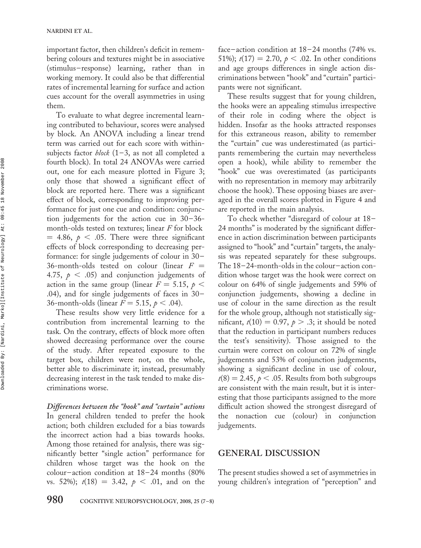important factor, then children's deficit in remembering colours and textures might be in associative (stimulus–response) learning, rather than in working memory. It could also be that differential rates of incremental learning for surface and action cues account for the overall asymmetries in using them.

To evaluate to what degree incremental learning contributed to behaviour, scores were analysed by block. An ANOVA including a linear trend term was carried out for each score with withinsubjects factor *block*  $(1-3)$ , as not all completed a fourth block). In total 24 ANOVAs were carried out, one for each measure plotted in Figure 3; only those that showed a significant effect of block are reported here. There was a significant effect of block, corresponding to improving performance for just one cue and condition: conjunction judgements for the action cue in 30–36 month-olds tested on textures; linear  $F$  for block  $= 4.86, p < .05$ . There were three significant effects of block corresponding to decreasing performance: for single judgements of colour in 30– 36-month-olds tested on colour (linear  $F =$ 4.75,  $p < .05$ ) and conjunction judgements of action in the same group (linear  $F = 5.15$ ,  $\rho <$ .04), and for single judgements of faces in 30– 36-month-olds (linear  $F = 5.15$ ,  $p < .04$ ).

These results show very little evidence for a contribution from incremental learning to the task. On the contrary, effects of block more often showed decreasing performance over the course of the study. After repeated exposure to the target box, children were not, on the whole, better able to discriminate it; instead, presumably decreasing interest in the task tended to make discriminations worse.

Differences between the "hook" and "curtain" actions In general children tended to prefer the hook action; both children excluded for a bias towards the incorrect action had a bias towards hooks. Among those retained for analysis, there was significantly better "single action" performance for children whose target was the hook on the colour–action condition at 18–24 months (80% vs. 52%);  $t(18) = 3.42, p < .01$ , and on the

face–action condition at 18–24 months (74% vs. 51%);  $t(17) = 2.70, p < .02$ . In other conditions and age groups differences in single action discriminations between "hook" and "curtain" participants were not significant.

These results suggest that for young children, the hooks were an appealing stimulus irrespective of their role in coding where the object is hidden. Insofar as the hooks attracted responses for this extraneous reason, ability to remember the "curtain" cue was underestimated (as participants remembering the curtain may nevertheless open a hook), while ability to remember the "hook" cue was overestimated (as participants with no representation in memory may arbitrarily choose the hook). These opposing biases are averaged in the overall scores plotted in Figure 4 and are reported in the main analysis.

To check whether "disregard of colour at 18– 24 months" is moderated by the significant difference in action discrimination between participants assigned to "hook" and "curtain" targets, the analysis was repeated separately for these subgroups. The 18–24-month-olds in the colour–action condition whose target was the hook were correct on colour on 64% of single judgements and 59% of conjunction judgements, showing a decline in use of colour in the same direction as the result for the whole group, although not statistically significant,  $t(10) = 0.97$ ,  $p > .3$ ; it should be noted that the reduction in participant numbers reduces the test's sensitivity). Those assigned to the curtain were correct on colour on 72% of single judgements and 53% of conjunction judgements, showing a significant decline in use of colour,  $t(8) = 2.45$ ,  $p < .05$ . Results from both subgroups are consistent with the main result, but it is interesting that those participants assigned to the more difficult action showed the strongest disregard of the nonaction cue (colour) in conjunction judgements.

## GENERAL DISCUSSION

The present studies showed a set of asymmetries in young children's integration of "perception" and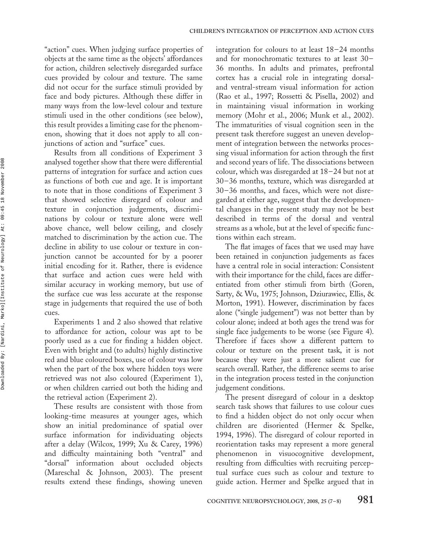"action" cues. When judging surface properties of objects at the same time as the objects' affordances for action, children selectively disregarded surface cues provided by colour and texture. The same did not occur for the surface stimuli provided by face and body pictures. Although these differ in many ways from the low-level colour and texture stimuli used in the other conditions (see below), this result provides a limiting case for the phenomenon, showing that it does not apply to all conjunctions of action and "surface" cues.

Results from all conditions of Experiment 3 analysed together show that there were differential patterns of integration for surface and action cues as functions of both cue and age. It is important to note that in those conditions of Experiment 3 that showed selective disregard of colour and texture in conjunction judgements, discriminations by colour or texture alone were well above chance, well below ceiling, and closely matched to discrimination by the action cue. The decline in ability to use colour or texture in conjunction cannot be accounted for by a poorer initial encoding for it. Rather, there is evidence that surface and action cues were held with similar accuracy in working memory, but use of the surface cue was less accurate at the response stage in judgements that required the use of both cues.

Experiments 1 and 2 also showed that relative to affordance for action, colour was apt to be poorly used as a cue for finding a hidden object. Even with bright and (to adults) highly distinctive red and blue coloured boxes, use of colour was low when the part of the box where hidden toys were retrieved was not also coloured (Experiment 1), or when children carried out both the hiding and the retrieval action (Experiment 2).

These results are consistent with those from looking-time measures at younger ages, which show an initial predominance of spatial over surface information for individuating objects after a delay (Wilcox, 1999; Xu & Carey, 1996) and difficulty maintaining both "ventral" and "dorsal" information about occluded objects (Mareschal & Johnson, 2003). The present results extend these findings, showing uneven

integration for colours to at least 18–24 months and for monochromatic textures to at least 30– 36 months. In adults and primates, prefrontal cortex has a crucial role in integrating dorsaland ventral-stream visual information for action (Rao et al., 1997; Rossetti & Pisella, 2002) and in maintaining visual information in working memory (Mohr et al., 2006; Munk et al., 2002). The immaturities of visual cognition seen in the present task therefore suggest an uneven development of integration between the networks processing visual information for action through the first and second years of life. The dissociations between colour, which was disregarded at 18–24 but not at 30–36 months, texture, which was disregarded at 30–36 months, and faces, which were not disregarded at either age, suggest that the developmental changes in the present study may not be best described in terms of the dorsal and ventral streams as a whole, but at the level of specific functions within each stream.

The flat images of faces that we used may have been retained in conjunction judgements as faces have a central role in social interaction: Consistent with their importance for the child, faces are differentiated from other stimuli from birth (Goren, Sarty, & Wu, 1975; Johnson, Dziurawiec, Ellis, & Morton, 1991). However, discrimination by faces alone ("single judgement") was not better than by colour alone; indeed at both ages the trend was for single face judgements to be worse (see Figure 4). Therefore if faces show a different pattern to colour or texture on the present task, it is not because they were just a more salient cue for search overall. Rather, the difference seems to arise in the integration process tested in the conjunction judgement conditions.

The present disregard of colour in a desktop search task shows that failures to use colour cues to find a hidden object do not only occur when children are disoriented (Hermer & Spelke, 1994, 1996). The disregard of colour reported in reorientation tasks may represent a more general phenomenon in visuocognitive development, resulting from difficulties with recruiting perceptual surface cues such as colour and texture to guide action. Hermer and Spelke argued that in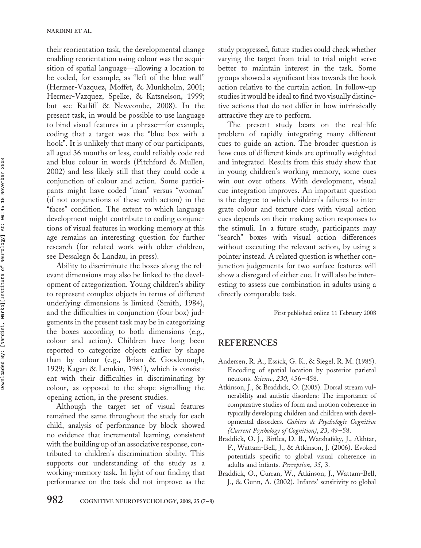their reorientation task, the developmental change enabling reorientation using colour was the acquisition of spatial language—allowing a location to be coded, for example, as "left of the blue wall" (Hermer-Vazquez, Moffet, & Munkholm, 2001; Hermer-Vazquez, Spelke, & Katsnelson, 1999; but see Ratliff & Newcombe, 2008). In the present task, in would be possible to use language to bind visual features in a phrase—for example, coding that a target was the "blue box with a hook". It is unlikely that many of our participants, all aged 36 months or less, could reliably code red and blue colour in words (Pitchford & Mullen, 2002) and less likely still that they could code a conjunction of colour and action. Some participants might have coded "man" versus "woman" (if not conjunctions of these with action) in the "faces" condition. The extent to which language development might contribute to coding conjunctions of visual features in working memory at this age remains an interesting question for further research (for related work with older children, see Dessalegn & Landau, in press).

Ability to discriminate the boxes along the relevant dimensions may also be linked to the development of categorization. Young children's ability to represent complex objects in terms of different underlying dimensions is limited (Smith, 1984), and the difficulties in conjunction (four box) judgements in the present task may be in categorizing the boxes according to both dimensions (e.g., colour and action). Children have long been reported to categorize objects earlier by shape than by colour (e.g., Brian & Goodenough, 1929; Kagan & Lemkin, 1961), which is consistent with their difficulties in discriminating by colour, as opposed to the shape signalling the opening action, in the present studies.

Although the target set of visual features remained the same throughout the study for each child, analysis of performance by block showed no evidence that incremental learning, consistent with the building up of an associative response, contributed to children's discrimination ability. This supports our understanding of the study as a working-memory task. In light of our finding that performance on the task did not improve as the

study progressed, future studies could check whether varying the target from trial to trial might serve better to maintain interest in the task. Some groups showed a significant bias towards the hook action relative to the curtain action. In follow-up studies it would be ideal to find two visually distinctive actions that do not differ in how intrinsically attractive they are to perform.

The present study bears on the real-life problem of rapidly integrating many different cues to guide an action. The broader question is how cues of different kinds are optimally weighted and integrated. Results from this study show that in young children's working memory, some cues win out over others. With development, visual cue integration improves. An important question is the degree to which children's failures to integrate colour and texture cues with visual action cues depends on their making action responses to the stimuli. In a future study, participants may "search" boxes with visual action differences without executing the relevant action, by using a pointer instead. A related question is whether conjunction judgements for two surface features will show a disregard of either cue. It will also be interesting to assess cue combination in adults using a directly comparable task.

First published online 11 February 2008

# REFERENCES

- Andersen, R. A., Essick, G. K., & Siegel, R. M. (1985). Encoding of spatial location by posterior parietal neurons. Science, 230, 456–458.
- Atkinson, J., & Braddick, O. (2005). Dorsal stream vulnerability and autistic disorders: The importance of comparative studies of form and motion coherence in typically developing children and children with developmental disorders. Cahiers de Psychologie Cognitive (Current Psychology of Cognition), 23, 49–58.
- Braddick, O. J., Birtles, D. B., Warshafsky, J., Akhtar, F., Wattam-Bell, J., & Atkinson, J. (2006). Evoked potentials specific to global visual coherence in adults and infants. Perception, 35, 3.
- Braddick, O., Curran, W., Atkinson, J., Wattam-Bell, J., & Gunn, A. (2002). Infants' sensitivity to global

2008

November

 $\frac{8}{18}$ 09:45

Neurology] At: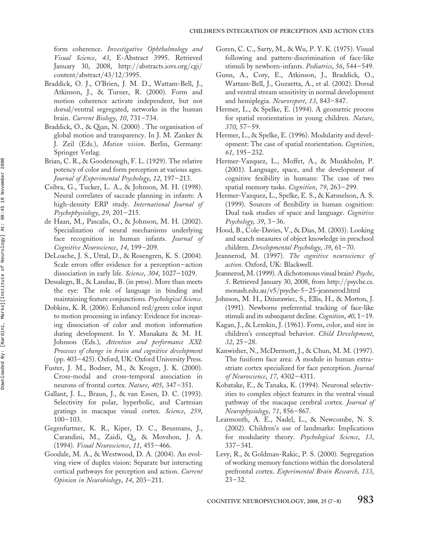form coherence. Investigative Ophthalmology and Visual Science, 43, E-Abstract 3995. Retrieved January 30, 2008, http://abstracts.iovs.org/cgi/ content/abstract/43/12/3995.

- Braddick, O. J., O'Brien, J. M. D., Wattam-Bell, J., Atkinson, J., & Turner, R. (2000). Form and motion coherence activate independent, but not dorsal/ventral segregated, networks in the human brain. Current Biology, 10, 731–734.
- Braddick, O., & Qian, N. (2000) . The organisation of global motion and transparency. In J. M. Zanker & J. Zeil (Eds.), Motion vision. Berlin, Germany: Springer Verlag.
- Brian, C. R., & Goodenough, F. L. (1929). The relative potency of color and form perception at various ages. Journal of Experimental Psychology, 12, 197–213.
- Csibra, G., Tucker, L. A., & Johnson, M. H. (1998). Neural correlates of saccade planning in infants: A high-density ERP study. International Journal of Psychophysiology, 29, 201–215.
- de Haan, M., Pascalis, O., & Johnson, M. H. (2002). Specialization of neural mechanisms underlying face recognition in human infants. Journal of Cognitive Neuroscience, 14, 199–209.
- DeLoache, J. S., Uttal, D., & Rosengren, K. S. (2004). Scale errors offer evidence for a perception–action dissociation in early life. Science, 304, 1027–1029.
- Dessalegn, B., & Landau, B. (in press). More than meets the eye: The role of language in binding and maintaining feature conjunctions. Psychological Science.
- Dobkins, K. R. (2006). Enhanced red/green color input to motion processing in infancy: Evidence for increasing dissociation of color and motion information during development. In Y. Munakata & M. H. Johnson (Eds.), Attention and performance XXI: Processes of change in brain and cognitive development (pp. 403–425). Oxford, UK: Oxford University Press.
- Fuster, J. M., Bodner, M., & Kroger, J. K. (2000). Cross-modal and cross-temporal association in neurons of frontal cortex. Nature, 405, 347–351.
- Gallant, J. L., Braun, J., & van Essen, D. C. (1993). Selectivity for polar, hyperbolic, and Cartesian gratings in macaque visual cortex. Science, 259, 100–103.
- Gegenfurtner, K. R., Kiper, D. C., Beusmans, J., Carandini, M., Zaidi, Q., & Movshon, J. A. (1994). Visual Neuroscience, 11, 455–466.
- Goodale, M. A., & Westwood, D. A. (2004). An evolving view of duplex vision: Separate but interacting cortical pathways for perception and action. Current Opinion in Neurobiology, 14, 203–211.
- Goren, C. C., Sarty, M., & Wu, P. Y. K. (1975). Visual following and pattern-discrimination of face-like stimuli by newborn-infants. Pediatrics, 56, 544–549.
- Gunn, A., Cory, E., Atkinson, J., Braddick, O., Wattam-Bell, J., Guzzetta, A., et al. (2002). Dorsal and ventral stream sensitivity in normal development and hemiplegia. Neuroreport, 13, 843–847.
- Hermer, L., & Spelke, E. (1994). A geometric process for spatial reorientation in young children. Nature, 370, 57–59.
- Hermer, L., & Spelke, E. (1996). Modularity and development: The case of spatial reorientation. Cognition, 61, 195–232.
- Hermer-Vazquez, L., Moffet, A., & Munkholm, P. (2001). Language, space, and the development of cognitive fexibility in humans: The case of two spatial memory tasks. Cognition, 79, 263-299.
- Hermer-Vazquez, L., Spelke, E. S., & Katsnelson, A. S. (1999). Sources of flexibility in human cognition: Dual task studies of space and language. Cognitive Psychology, 39, 3–36.
- Hood, B., Cole-Davies, V., & Dias, M. (2003). Looking and search measures of object knowledge in preschool children. Developmental Psychology, 39, 61–70.
- Jeannerod, M. (1997). The cognitive neuroscience of action. Oxford, UK: Blackwell.
- Jeannerod, M. (1999). A dichotomous visual brain? Psyche, 5. Retrieved January 30, 2008, from http://psyche.cs. monash.edu.au/v5/psyche-5–25-jeannerod.html
- Johnson, M. H., Dziurawiec, S., Ellis, H., & Morton, J. (1991). Newborns preferential tracking of face-like stimuli and its subsequent decline. *Cognition*, 40, 1-19.
- Kagan, J., & Lemkin, J. (1961). Form, color, and size in children's conceptual behavior. Child Development, 32, 25–28.
- Kanwisher, N., McDermott, J., & Chun, M. M. (1997). The fusiform face area: A module in human extrastriate cortex specialized for face perception. Journal of Neuroscience, 17, 4302–4311.
- Kobatake, E., & Tanaka, K. (1994). Neuronal selectivities to complex object features in the ventral visual pathway of the macaque cerebral cortex. Journal of Neurophysiology, 71, 856–867.
- Learmonth, A. E., Nadel, L., & Newcombe, N. S. (2002). Children's use of landmarks: Implications for modularity theory. Psychological Science, 13, 337–341.
- Levy, R., & Goldman-Rakic, P. S. (2000). Segregation of working memory functions within the dorsolateral prefrontal cortex. Experimental Brain Research, 133,  $23 - 32$ .

2008